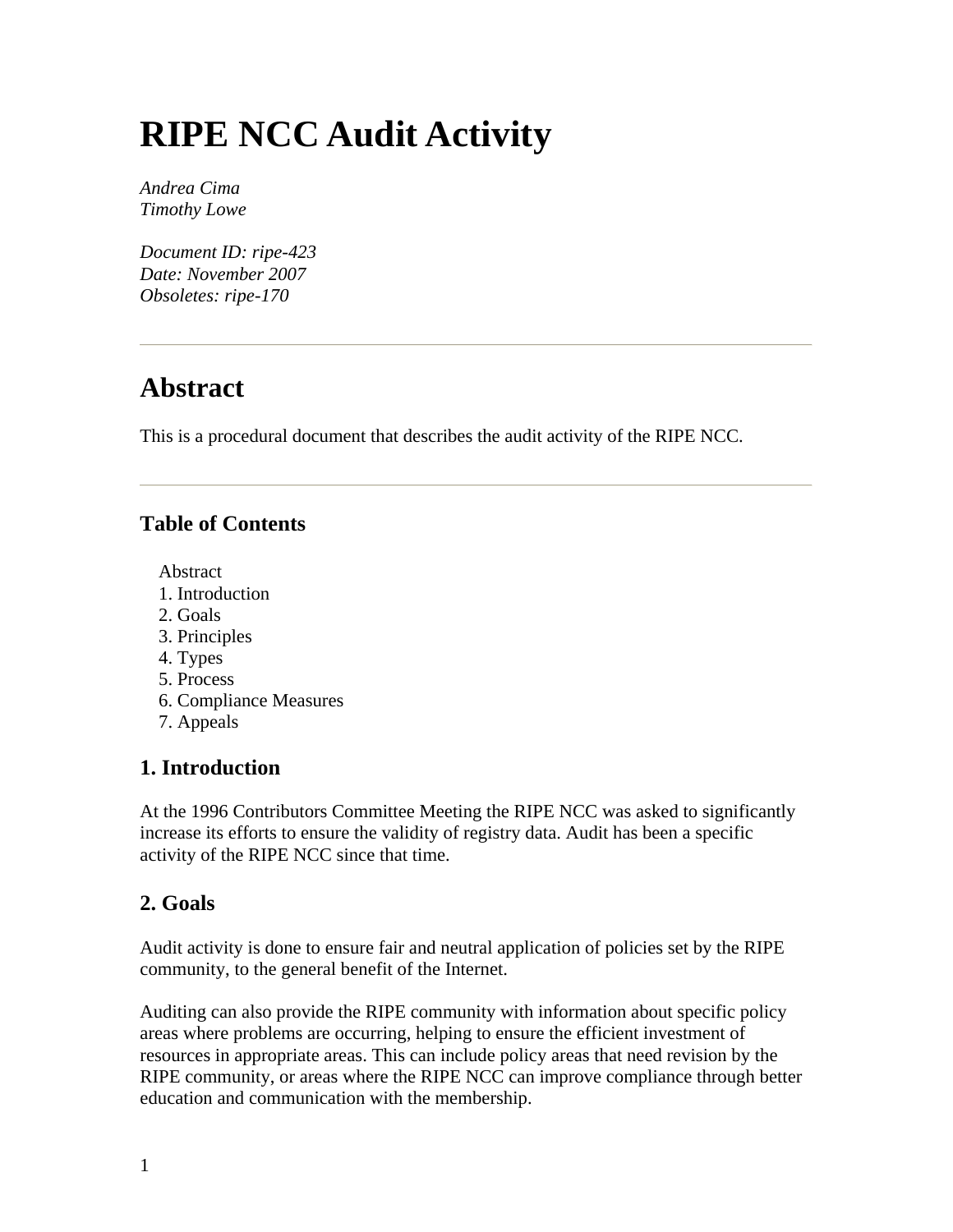# **RIPE NCC Audit Activity**

*Andrea Cima Timothy Lowe* 

*Document ID: ripe-423 Date: November 2007 Obsoletes: ripe-170* 

## **Abstract**

This is a procedural document that describes the audit activity of the RIPE NCC.

## **Table of Contents**

Abstract

- 1. Introduction
- 2. Goals
- 3. Principles
- 4. Types
- 5. Process
- 6. Compliance Measures
- 7. Appeals

## **1. Introduction**

At the 1996 Contributors Committee Meeting the RIPE NCC was asked to significantly increase its efforts to ensure the validity of registry data. Audit has been a specific activity of the RIPE NCC since that time.

## **2. Goals**

Audit activity is done to ensure fair and neutral application of policies set by the RIPE community, to the general benefit of the Internet.

Auditing can also provide the RIPE community with information about specific policy areas where problems are occurring, helping to ensure the efficient investment of resources in appropriate areas. This can include policy areas that need revision by the RIPE community, or areas where the RIPE NCC can improve compliance through better education and communication with the membership.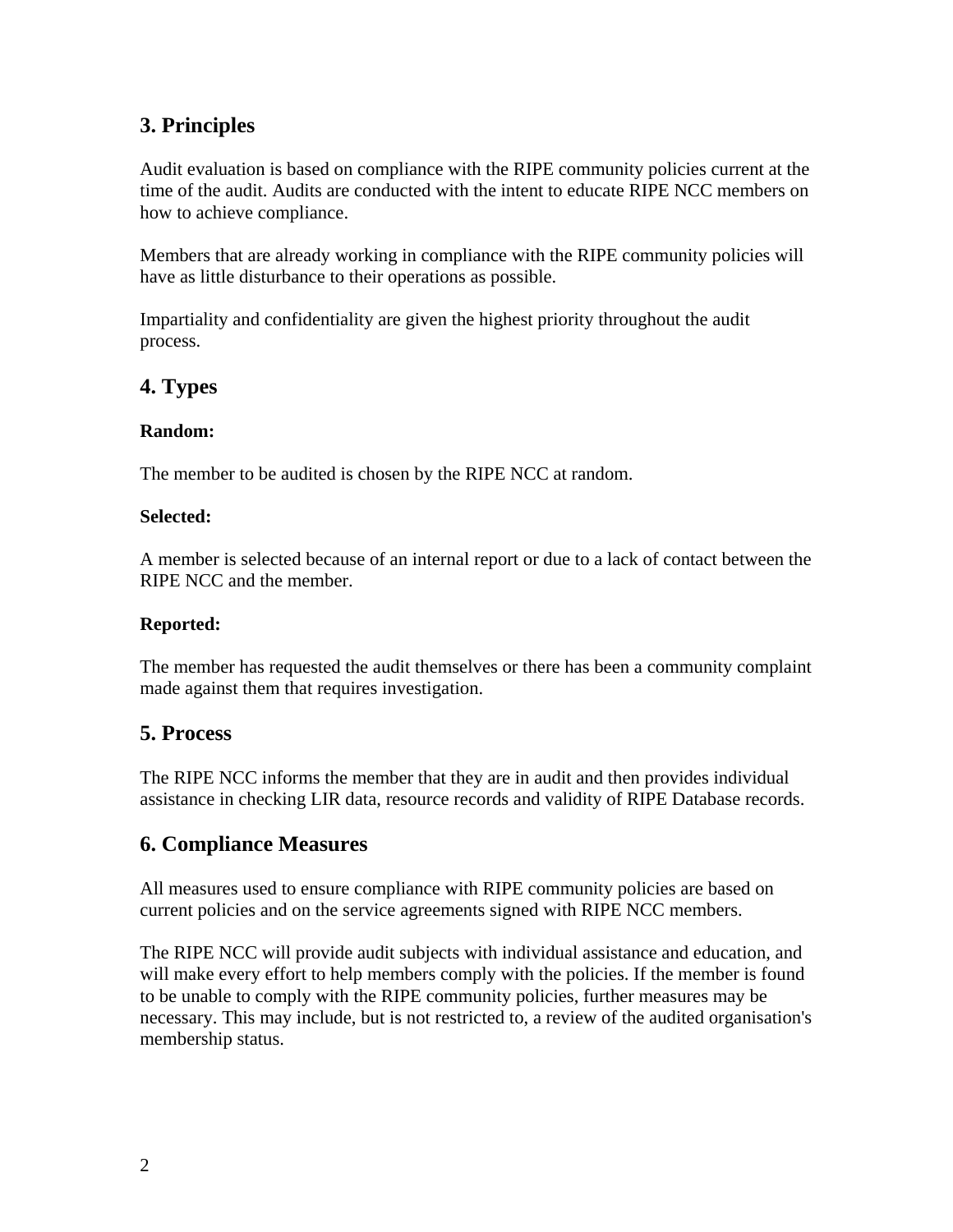### **3. Principles**

Audit evaluation is based on compliance with the RIPE community policies current at the time of the audit. Audits are conducted with the intent to educate RIPE NCC members on how to achieve compliance.

Members that are already working in compliance with the RIPE community policies will have as little disturbance to their operations as possible.

Impartiality and confidentiality are given the highest priority throughout the audit process.

#### **4. Types**

#### **Random:**

The member to be audited is chosen by the RIPE NCC at random.

#### **Selected:**

A member is selected because of an internal report or due to a lack of contact between the RIPE NCC and the member.

#### **Reported:**

The member has requested the audit themselves or there has been a community complaint made against them that requires investigation.

#### **5. Process**

The RIPE NCC informs the member that they are in audit and then provides individual assistance in checking LIR data, resource records and validity of RIPE Database records.

## **6. Compliance Measures**

All measures used to ensure compliance with RIPE community policies are based on current policies and on the service agreements signed with RIPE NCC members.

The RIPE NCC will provide audit subjects with individual assistance and education, and will make every effort to help members comply with the policies. If the member is found to be unable to comply with the RIPE community policies, further measures may be necessary. This may include, but is not restricted to, a review of the audited organisation's membership status.